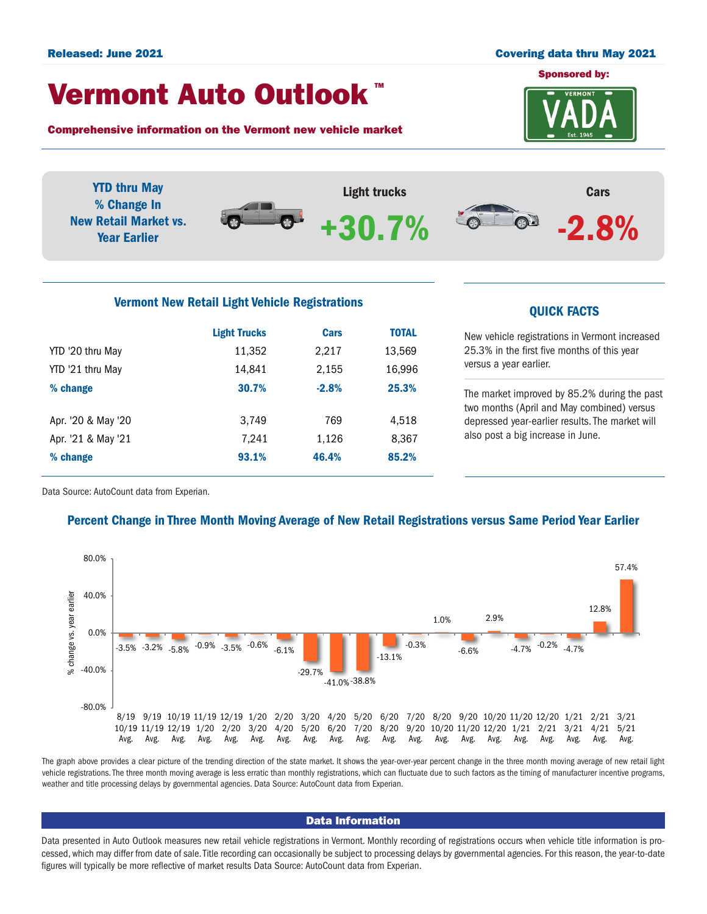#### Released: June 2021 Covering data thru May 2021

# Vermont Auto Outlook TM

Comprehensive information on the Vermont new vehicle market





Data Source: AutoCount data from Experian.

## Percent Change in Three Month Moving Average of New Retail Registrations versus Same Period Year Earlier



The graph above provides a clear picture of the trending direction of the state market. It shows the year-over-year percent change in the three month moving average of new retail light vehicle registrations. The three month moving average is less erratic than monthly registrations, which can fluctuate due to such factors as the timing of manufacturer incentive programs, weather and title processing delays by governmental agencies. Data Source: AutoCount data from Experian.

#### Data Information

Data presented in Auto Outlook measures new retail vehicle registrations in Vermont. Monthly recording of registrations occurs when vehicle title information is processed, which may differ from date of sale. Title recording can occasionally be subject to processing delays by governmental agencies. For this reason, the year-to-date figures will typically be more reflective of market results Data Source: AutoCount data from Experian.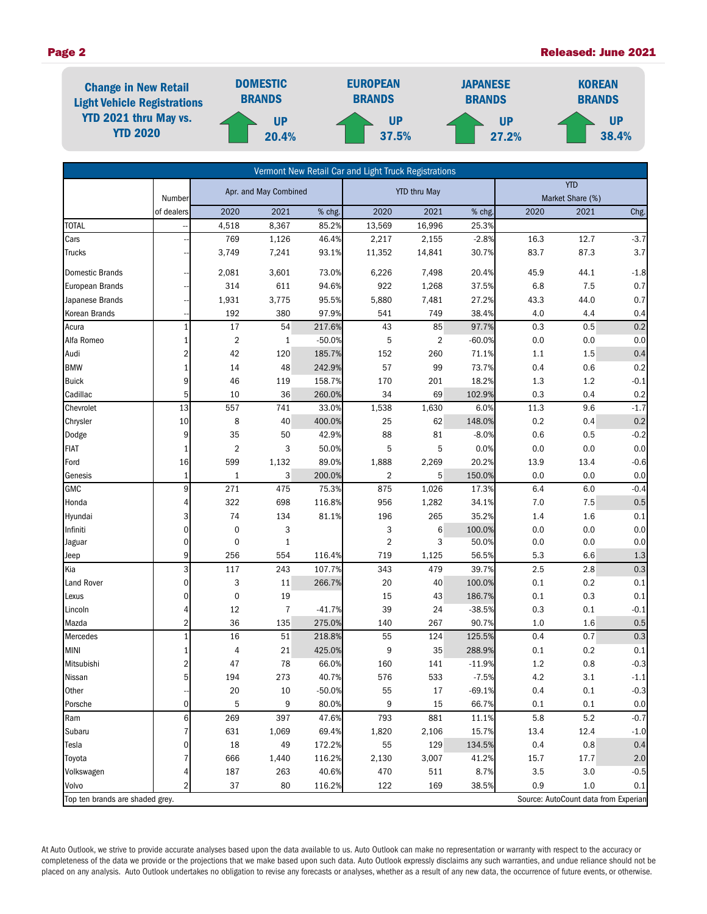#### Page 2 Released: June 2021



|                                                                         |                |                         |              |          | Vermont New Retail Car and Light Truck Registrations |                |          |            |                  |         |
|-------------------------------------------------------------------------|----------------|-------------------------|--------------|----------|------------------------------------------------------|----------------|----------|------------|------------------|---------|
|                                                                         |                | Apr. and May Combined   |              |          | <b>YTD thru May</b>                                  |                |          | <b>YTD</b> |                  |         |
|                                                                         | Number         |                         |              |          |                                                      |                |          |            | Market Share (%) |         |
|                                                                         | of dealers     | 2020                    | 2021         | % chg.   | 2020                                                 | 2021           | % chg.   | 2020       | 2021             | Chg.    |
| <b>TOTAL</b>                                                            |                | 4,518                   | 8,367        | 85.2%    | 13,569                                               | 16,996         | 25.3%    |            |                  |         |
| Cars                                                                    |                | 769                     | 1,126        | 46.4%    | 2,217                                                | 2,155          | $-2.8%$  | 16.3       | 12.7             | $-3.7$  |
| Trucks                                                                  |                | 3,749                   | 7,241        | 93.1%    | 11,352                                               | 14,841         | 30.7%    | 83.7       | 87.3             | 3.7     |
| Domestic Brands                                                         |                | 2,081                   | 3,601        | 73.0%    | 6,226                                                | 7,498          | 20.4%    | 45.9       | 44.1             | $-1.8$  |
| European Brands                                                         |                | 314                     | 611          | 94.6%    | 922                                                  | 1,268          | 37.5%    | 6.8        | 7.5              | 0.7     |
| Japanese Brands                                                         |                | 1,931                   | 3,775        | 95.5%    | 5,880                                                | 7,481          | 27.2%    | 43.3       | 44.0             | 0.7     |
| Korean Brands                                                           |                | 192                     | 380          | 97.9%    | 541                                                  | 749            | 38.4%    | 4.0        | 4.4              | 0.4     |
| Acura                                                                   |                | 17                      | 54           | 217.6%   | 43                                                   | 85             | 97.7%    | 0.3        | 0.5              | 0.2     |
| Alfa Romeo                                                              | 1              | $\overline{\mathbf{c}}$ | 1            | $-50.0%$ | 5                                                    | $\overline{2}$ | $-60.0%$ | 0.0        | 0.0              | 0.0     |
| Audi                                                                    | 2              | 42                      | 120          | 185.7%   | 152                                                  | 260            | 71.1%    | 1.1        | 1.5              | 0.4     |
| <b>BMW</b>                                                              | 1              | 14                      | 48           | 242.9%   | 57                                                   | 99             | 73.7%    | 0.4        | 0.6              | 0.2     |
| <b>Buick</b>                                                            | 9              | 46                      | 119          | 158.7%   | 170                                                  | 201            | 18.2%    | 1.3        | 1.2              | $-0.1$  |
| Cadillac                                                                | 5              | 10                      | 36           | 260.0%   | 34                                                   | 69             | 102.9%   | 0.3        | 0.4              | 0.2     |
| Chevrolet                                                               | 13             | 557                     | 741          | 33.0%    | 1,538                                                | 1,630          | 6.0%     | 11.3       | 9.6              | $-1.7$  |
| Chrysler                                                                | 10             | 8                       | 40           | 400.0%   | 25                                                   | 62             | 148.0%   | 0.2        | 0.4              | 0.2     |
| Dodge                                                                   | 9              | 35                      | 50           | 42.9%    | 88                                                   | 81             | $-8.0%$  | 0.6        | 0.5              | $-0.2$  |
| <b>FIAT</b>                                                             | 1              | $\overline{2}$          | 3            | 50.0%    | 5                                                    | 5              | 0.0%     | 0.0        | 0.0              | 0.0     |
| Ford                                                                    | 16             | 599                     | 1,132        | 89.0%    | 1,888                                                | 2,269          | 20.2%    | 13.9       | 13.4             | $-0.6$  |
| Genesis                                                                 | 1              | $\mathbf{1}$            | 3            | 200.0%   | $\overline{2}$                                       | 5              | 150.0%   | 0.0        | 0.0              | $0.0\,$ |
| <b>GMC</b>                                                              | 9              | 271                     | 475          | 75.3%    | 875                                                  | 1,026          | 17.3%    | 6.4        | 6.0              | $-0.4$  |
| Honda                                                                   | 4              | 322                     | 698          | 116.8%   | 956                                                  | 1,282          | 34.1%    | 7.0        | 7.5              | $0.5\,$ |
| Hyundai                                                                 | 3              | 74                      | 134          | 81.1%    | 196                                                  | 265            | 35.2%    | 1.4        | 1.6              | 0.1     |
| Infiniti                                                                | $\mathbf 0$    | $\pmb{0}$               | 3            |          | 3                                                    | $\,6$          | 100.0%   | 0.0        | 0.0              | 0.0     |
| Jaguar                                                                  | 0              | $\mathbf 0$             | $\mathbf{1}$ |          | $\sqrt{2}$                                           | 3              | 50.0%    | 0.0        | 0.0              | $0.0\,$ |
| Jeep                                                                    | 9              | 256                     | 554          | 116.4%   | 719                                                  | 1,125          | 56.5%    | 5.3        | 6.6              | 1.3     |
| Kia                                                                     | 3              | 117                     | 243          | 107.7%   | 343                                                  | 479            | 39.7%    | 2.5        | 2.8              | 0.3     |
| Land Rover                                                              | 0              | 3                       | 11           | 266.7%   | 20                                                   | 40             | 100.0%   | 0.1        | 0.2              | 0.1     |
| Lexus                                                                   | 0              | $\mathbf 0$             | 19           |          | 15                                                   | 43             | 186.7%   | 0.1        | 0.3              | 0.1     |
| Lincoln                                                                 | 4              | 12                      | 7            | $-41.7%$ | 39                                                   | 24             | $-38.5%$ | 0.3        | 0.1              | $-0.1$  |
| Mazda                                                                   | $\overline{2}$ | 36                      | 135          | 275.0%   | 140                                                  | 267            | 90.7%    | 1.0        | 1.6              | 0.5     |
| Mercedes                                                                | $\mathbf{1}$   | 16                      | 51           | 218.8%   | 55                                                   | 124            | 125.5%   | 0.4        | 0.7              | 0.3     |
| <b>MINI</b>                                                             |                | 4                       | 21           | 425.0%   | 9                                                    | 35             | 288.9%   | 0.1        | 0.2              | $0.1\,$ |
| Mitsubishi                                                              | 2              | 47                      | 78           | 66.0%    | 160                                                  | 141            | $-11.9%$ | 1.2        | 0.8              | $-0.3$  |
| Nissan                                                                  | 5              | 194                     | 273          | 40.7%    | 576                                                  | 533            | $-7.5%$  | 4.2        | 3.1              | $-1.1$  |
| Other                                                                   |                | 20                      | 10           | $-50.0%$ | 55                                                   | 17             | $-69.1%$ | 0.4        | 0.1              | $-0.3$  |
| Porsche                                                                 | $\overline{0}$ | 5                       | 9            | 80.0%    | 9                                                    | 15             | 66.7%    | 0.1        | 0.1              | 0.0     |
| Ram                                                                     | 6              | 269                     | 397          | 47.6%    | 793                                                  | 881            | 11.1%    | 5.8        | 5.2              | $-0.7$  |
| Subaru                                                                  | 7              | 631                     | 1,069        | 69.4%    | 1,820                                                | 2,106          | 15.7%    | 13.4       | 12.4             | $-1.0$  |
| Tesla                                                                   | 0              | 18                      | 49           | 172.2%   | 55                                                   | 129            | 134.5%   | 0.4        | 0.8              | 0.4     |
| Toyota                                                                  | 7              | 666                     | 1,440        | 116.2%   | 2,130                                                | 3,007          | 41.2%    | 15.7       | 17.7             | $2.0\,$ |
| Volkswagen                                                              |                | 187                     | 263          | 40.6%    | 470                                                  | 511            | 8.7%     | 3.5        | 3.0              | $-0.5$  |
| Volvo                                                                   | $\overline{2}$ | 37                      | 80           | 116.2%   | 122                                                  | 169            | 38.5%    | 0.9        | 1.0              | 0.1     |
| Source: AutoCount data from Experian<br>Top ten brands are shaded grey. |                |                         |              |          |                                                      |                |          |            |                  |         |

At Auto Outlook, we strive to provide accurate analyses based upon the data available to us. Auto Outlook can make no representation or warranty with respect to the accuracy or completeness of the data we provide or the projections that we make based upon such data. Auto Outlook expressly disclaims any such warranties, and undue reliance should not be placed on any analysis. Auto Outlook undertakes no obligation to revise any forecasts or analyses, whether as a result of any new data, the occurrence of future events, or otherwise.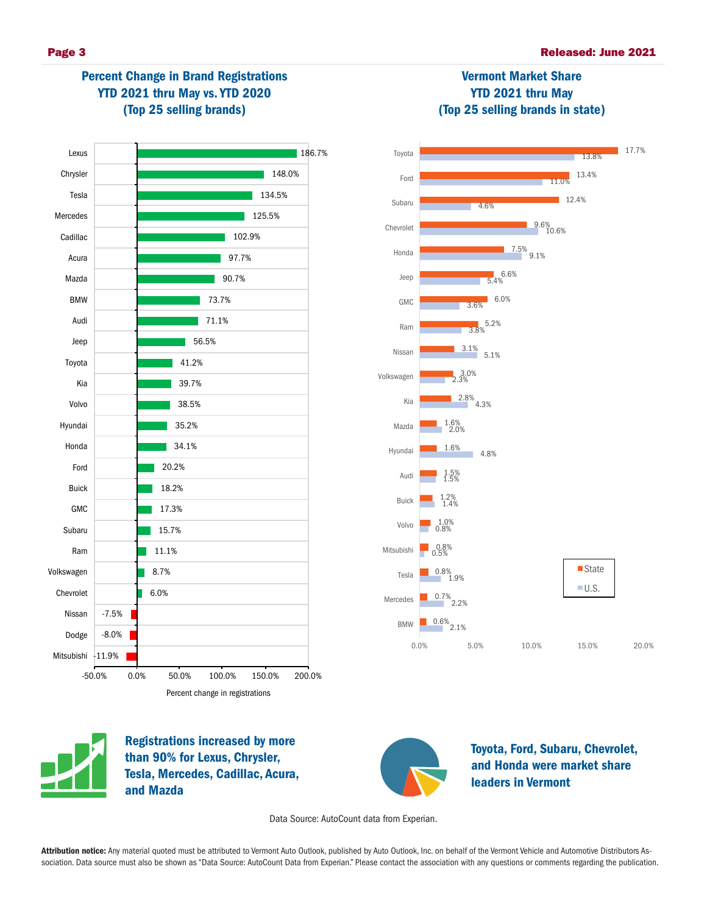



Registrations increased by more than 90% for Lexus, Chrysler, Tesla, Mercedes, Cadillac, Acura, and Mazda



Toyota, Ford, Subaru, Chevrolet, and Honda were market share leaders in Vermont

Data Source: AutoCount data from Experian.

Attribution notice: Any material quoted must be attributed to Vermont Auto Outlook, published by Auto Outlook, Inc. on behalf of the Vermont Vehicle and Automotive Distributors Association. Data source must also be shown as "Data Source: AutoCount Data from Experian." Please contact the association with any questions or comments regarding the publication.